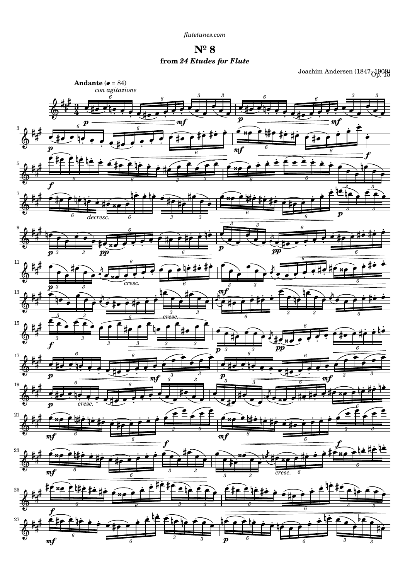**Nº 8 from** *24 Etudes for Flute*

Joachim Andersen (1847 $_{\rm{Op.15}}^{1909}$